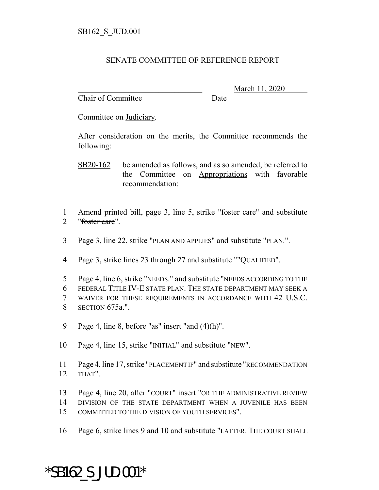## SENATE COMMITTEE OF REFERENCE REPORT

Chair of Committee Date

\_\_\_\_\_\_\_\_\_\_\_\_\_\_\_\_\_\_\_\_\_\_\_\_\_\_\_\_\_\_\_ March 11, 2020

Committee on Judiciary.

After consideration on the merits, the Committee recommends the following:

- SB20-162 be amended as follows, and as so amended, be referred to the Committee on Appropriations with favorable recommendation:
- 1 Amend printed bill, page 3, line 5, strike "foster care" and substitute 2 "foster care".
- 3 Page 3, line 22, strike "PLAN AND APPLIES" and substitute "PLAN.".
- 4 Page 3, strike lines 23 through 27 and substitute ""QUALIFIED".
- 5 Page 4, line 6, strike "NEEDS." and substitute "NEEDS ACCORDING TO THE
- 6 FEDERAL TITLE IV-E STATE PLAN. THE STATE DEPARTMENT MAY SEEK A
- 7 WAIVER FOR THESE REQUIREMENTS IN ACCORDANCE WITH 42 U.S.C. 8 SECTION 675a.".
- 9 Page 4, line 8, before "as" insert "and (4)(h)".
- 10 Page 4, line 15, strike "INITIAL" and substitute "NEW".
- 11 Page 4, line 17, strike "PLACEMENT IF" and substitute "RECOMMENDATION 12 THAT".
- 13 Page 4, line 20, after "COURT" insert "OR THE ADMINISTRATIVE REVIEW
- 14 DIVISION OF THE STATE DEPARTMENT WHEN A JUVENILE HAS BEEN
- 15 COMMITTED TO THE DIVISION OF YOUTH SERVICES".
- 16 Page 6, strike lines 9 and 10 and substitute "LATTER. THE COURT SHALL

## \*SB162\_S\_JUD.001\*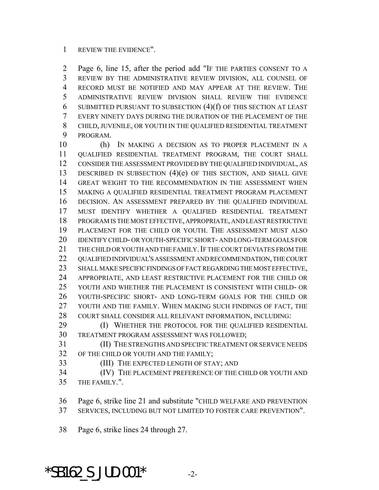## REVIEW THE EVIDENCE".

 Page 6, line 15, after the period add "IF THE PARTIES CONSENT TO A REVIEW BY THE ADMINISTRATIVE REVIEW DIVISION, ALL COUNSEL OF RECORD MUST BE NOTIFIED AND MAY APPEAR AT THE REVIEW. THE ADMINISTRATIVE REVIEW DIVISION SHALL REVIEW THE EVIDENCE 6 SUBMITTED PURSUANT TO SUBSECTION  $(4)(f)$  OF THIS SECTION AT LEAST EVERY NINETY DAYS DURING THE DURATION OF THE PLACEMENT OF THE CHILD, JUVENILE, OR YOUTH IN THE QUALIFIED RESIDENTIAL TREATMENT PROGRAM.

 (h) IN MAKING A DECISION AS TO PROPER PLACEMENT IN A QUALIFIED RESIDENTIAL TREATMENT PROGRAM, THE COURT SHALL CONSIDER THE ASSESSMENT PROVIDED BY THE QUALIFIED INDIVIDUAL, AS DESCRIBED IN SUBSECTION (4)(e) OF THIS SECTION, AND SHALL GIVE GREAT WEIGHT TO THE RECOMMENDATION IN THE ASSESSMENT WHEN MAKING A QUALIFIED RESIDENTIAL TREATMENT PROGRAM PLACEMENT DECISION. AN ASSESSMENT PREPARED BY THE QUALIFIED INDIVIDUAL MUST IDENTIFY WHETHER A QUALIFIED RESIDENTIAL TREATMENT PROGRAM IS THE MOST EFFECTIVE, APPROPRIATE, AND LEAST RESTRICTIVE PLACEMENT FOR THE CHILD OR YOUTH. THE ASSESSMENT MUST ALSO IDENTIFY CHILD- OR YOUTH-SPECIFIC SHORT- AND LONG-TERM GOALS FOR 21 THE CHILD OR YOUTH AND THE FAMILY. IF THE COURT DEVIATES FROM THE QUALIFIED INDIVIDUAL'S ASSESSMENT AND RECOMMENDATION, THE COURT SHALL MAKE SPECIFIC FINDINGS OF FACT REGARDING THE MOST EFFECTIVE, APPROPRIATE, AND LEAST RESTRICTIVE PLACEMENT FOR THE CHILD OR YOUTH AND WHETHER THE PLACEMENT IS CONSISTENT WITH CHILD- OR YOUTH-SPECIFIC SHORT- AND LONG-TERM GOALS FOR THE CHILD OR YOUTH AND THE FAMILY. WHEN MAKING SUCH FINDINGS OF FACT, THE COURT SHALL CONSIDER ALL RELEVANT INFORMATION, INCLUDING: **(I) WHETHER THE PROTOCOL FOR THE QUALIFIED RESIDENTIAL** 

TREATMENT PROGRAM ASSESSMENT WAS FOLLOWED;

 (II) THE STRENGTHS AND SPECIFIC TREATMENT OR SERVICE NEEDS OF THE CHILD OR YOUTH AND THE FAMILY;

(III) THE EXPECTED LENGTH OF STAY; AND

 (IV) THE PLACEMENT PREFERENCE OF THE CHILD OR YOUTH AND THE FAMILY.".

Page 6, strike line 21 and substitute "CHILD WELFARE AND PREVENTION

SERVICES, INCLUDING BUT NOT LIMITED TO FOSTER CARE PREVENTION".

Page 6, strike lines 24 through 27.

\*SB162 S JUD.001\*  $-2$ -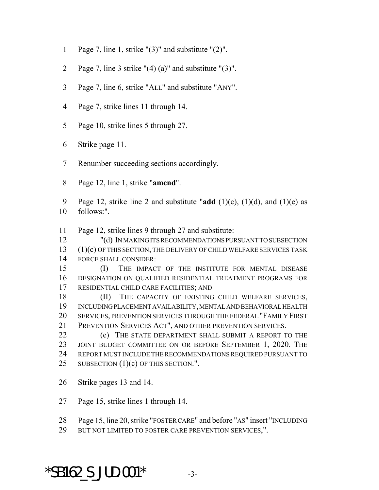- Page 7, line 1, strike "(3)" and substitute "(2)".
- 2 Page 7, line 3 strike  $''(4)$  (a)" and substitute "(3)".
- Page 7, line 6, strike "ALL" and substitute "ANY".
- Page 7, strike lines 11 through 14.
- Page 10, strike lines 5 through 27.
- Strike page 11.
- Renumber succeeding sections accordingly.
- Page 12, line 1, strike "**amend**".
- Page 12, strike line 2 and substitute "**add** (1)(c), (1)(d), and (1)(e) as follows:".
- Page 12, strike lines 9 through 27 and substitute:
- "(d) IN MAKING ITS RECOMMENDATIONS PURSUANT TO SUBSECTION (1)(c) OF THIS SECTION, THE DELIVERY OF CHILD WELFARE SERVICES TASK FORCE SHALL CONSIDER:
- (I) THE IMPACT OF THE INSTITUTE FOR MENTAL DISEASE DESIGNATION ON QUALIFIED RESIDENTIAL TREATMENT PROGRAMS FOR RESIDENTIAL CHILD CARE FACILITIES; AND
- (II) THE CAPACITY OF EXISTING CHILD WELFARE SERVICES, INCLUDING PLACEMENT AVAILABILITY, MENTAL AND BEHAVIORAL HEALTH SERVICES, PREVENTION SERVICES THROUGH THE FEDERAL "FAMILY FIRST PREVENTION SERVICES ACT", AND OTHER PREVENTION SERVICES.
- (e) THE STATE DEPARTMENT SHALL SUBMIT A REPORT TO THE 23 JOINT BUDGET COMMITTEE ON OR BEFORE SEPTEMBER 1, 2020. THE REPORT MUST INCLUDE THE RECOMMENDATIONS REQUIRED PURSUANT TO 25 SUBSECTION  $(1)(c)$  OF THIS SECTION.".
- Strike pages 13 and 14.
- Page 15, strike lines 1 through 14.
- Page 15, line 20, strike "FOSTER CARE" and before "AS" insert "INCLUDING
- 29 BUT NOT LIMITED TO FOSTER CARE PREVENTION SERVICES,".

## \*SB162 S JUD.001\*  $-3$ -